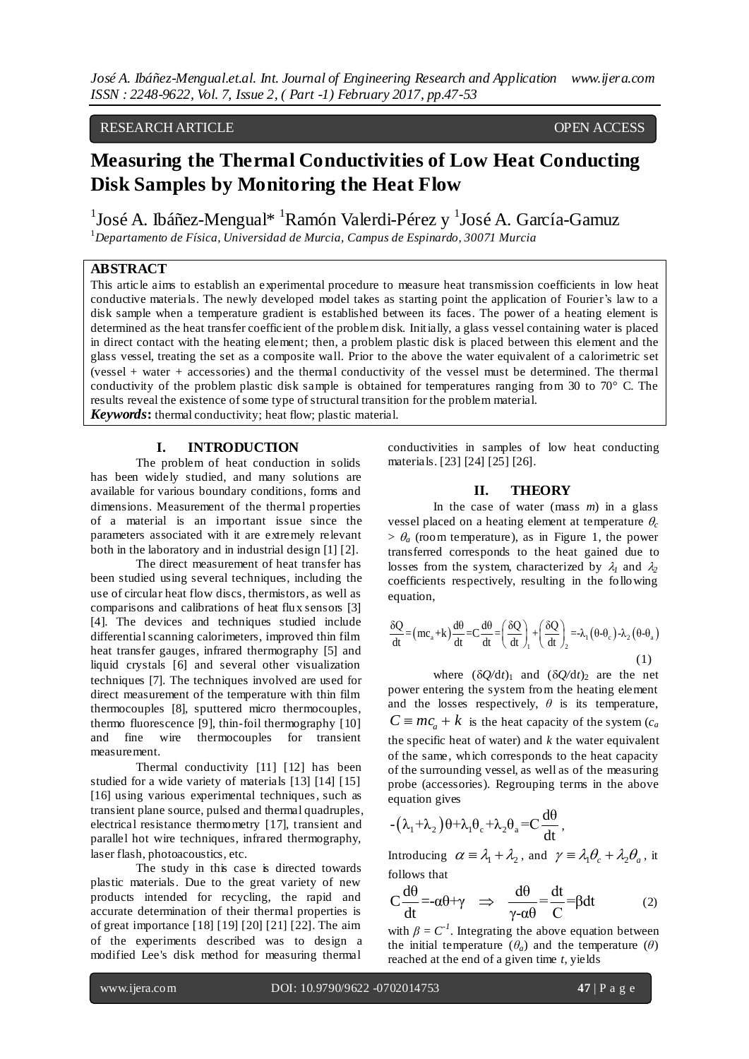# RESEARCH ARTICLE **OPEN ACCESS**

# **Measuring the Thermal Conductivities of Low Heat Conducting Disk Samples by Monitoring the Heat Flow**

 $^1$ José A. Ibáñez-Mengual $^*$   $^1$ Ramón Valerdi-Pérez y  $^1$ José A. García-Gamuz <sup>1</sup>*Departamento de Física, Universidad de Murcia, Campus de Espinardo, 30071 Murcia*

# **ABSTRACT**

This article aims to establish an experimental procedure to measure heat transmission coefficients in low heat conductive materials. The newly developed model takes as starting point the application of Fourier's law to a disk sample when a temperature gradient is established between its faces. The power of a heating element is determined as the heat transfer coefficient of the problem disk. Initially, a glass vessel containing water is placed in direct contact with the heating element; then, a problem plastic disk is placed between this element and the glass vessel, treating the set as a composite wall. Prior to the above the water equivalent of a calorimetric set (vessel + water + accessories) and the thermal conductivity of the vessel must be determined. The thermal conductivity of the problem plastic disk sample is obtained for temperatures ranging from 30 to 70 $^{\circ}$  C. The results reveal the existence of some type of structural transition for the problem material.

*Keywords***:** thermal conductivity; heat flow; plastic material.

# **I. INTRODUCTION**

The problem of heat conduction in solids has been widely studied, and many solutions are available for various boundary conditions, forms and dimensions. Measurement of the thermal properties of a material is an important issue since the parameters associated with it are extremely relevant both in the laboratory and in industrial design [1] [2].

The direct measurement of heat transfer has been studied using several techniques, including the use of circular heat flow discs, thermistors, as well as comparisons and calibrations of heat flux sensors [3] [4]. The devices and techniques studied include differential scanning calorimeters, improved thin film heat transfer gauges, infrared thermography [5] and liquid crystals [6] and several other visualization techniques [7]. The techniques involved are used for direct measurement of the temperature with thin film thermocouples [8], sputtered micro thermocouples, thermo fluorescence [9], thin-foil thermography [10] and fine wire thermocouples for transient measurement.

Thermal conductivity [11] [12] has been studied for a wide variety of materials [13] [14] [15] [16] using various experimental techniques, such as transient plane source, pulsed and thermal quadruples, electrical resistance thermometry [17], transient and parallel hot wire techniques, infrared thermography, laser flash, photoacoustics, etc.

The study in this case is directed towards plastic materials. Due to the great variety of new products intended for recycling, the rapid and accurate determination of their thermal properties is of great importance [18] [19] [20] [21] [22]. The aim of the experiments described was to design a modified Lee's disk method for measuring thermal

conductivities in samples of low heat conducting materials. [23] [24] [25] [26].

# **II. THEORY**

In the case of water (mass *m*) in a glass vessel placed on a heating element at temperature  $\theta_c$  $> \theta_a$  (room temperature), as in Figure 1, the power transferred corresponds to the heat gained due to losses from the system, characterized by  $\lambda_1$  and  $\lambda_2$ coefficients respectively, resulting in the following equation,

equation,  
\n
$$
\frac{\delta Q}{dt} = (mc_a + k) \frac{d\theta}{dt} = C \frac{d\theta}{dt} = \left(\frac{\delta Q}{dt}\right)_1 + \left(\frac{\delta Q}{dt}\right)_2 = \lambda_1 (\theta - \theta_c) - \lambda_2 (\theta - \theta_a)
$$
\n(1)

where  $(\delta Q/dt)_1$  and  $(\delta Q/dt)_2$  are the net power entering the system from the heating element and the losses respectively,  $\theta$  is its temperature,  $C \equiv mc_a + k$  is the heat capacity of the system (*c<sub>a</sub>* the specific heat of water) and *k* the water equivalent of the same, which corresponds to the heat capacity of the surrounding vessel, as well as of the measuring probe (accessories). Regrouping terms in the above equation gives

$$
\qquad \qquad - \big( \lambda_{_1} {+} \lambda_{_2} \big) \theta {+} \lambda_{_1} \theta_{_c} {+} \lambda_{_2} \theta_{_a} {=} C \frac{d \theta}{dt}\,,
$$

Introducing  $\alpha = \lambda_1 + \lambda_2$ , and  $\gamma = \lambda_1 \theta_c + \lambda_2 \theta_a$ , it follows that

follows that  
\n
$$
C \frac{d\theta}{dt} = -\alpha \theta + \gamma \implies \frac{d\theta}{\gamma - \alpha \theta} = \frac{dt}{C} = \beta dt
$$
\n(2)

with  $\beta = C^{-1}$ . Integrating the above equation between the initial temperature  $(\theta_a)$  and the temperature  $(\theta)$ reached at the end of a given time *t*, yields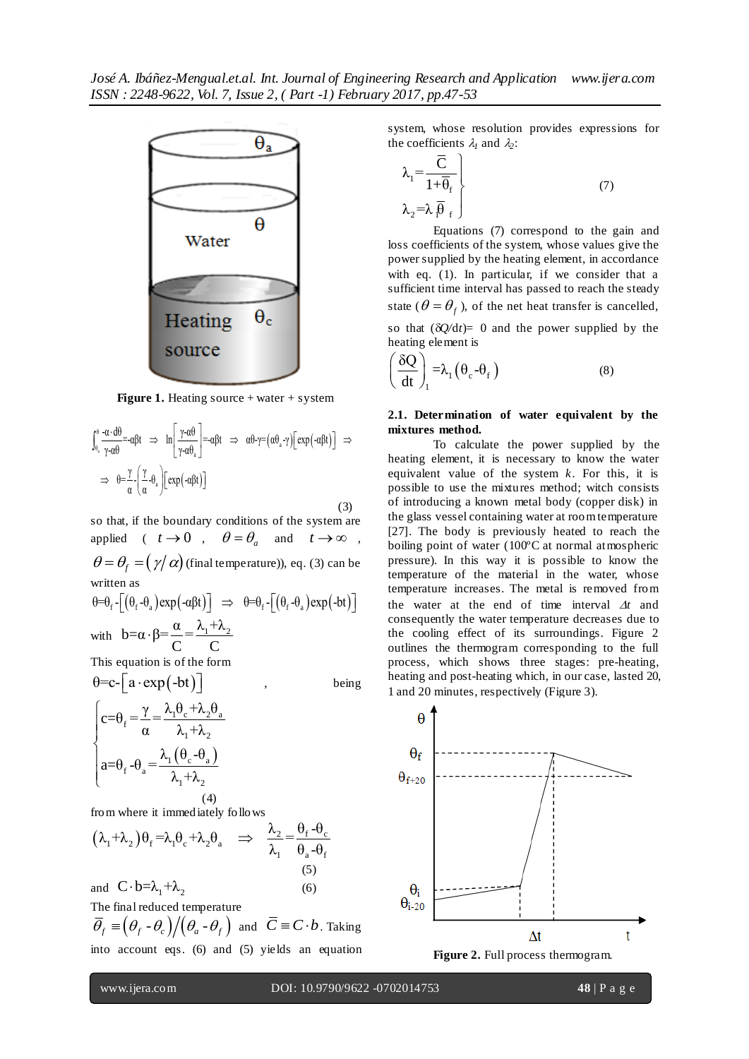

**Figure 1.** Heating source + water + system  
\n
$$
\int_{\theta_a}^{\theta} \frac{-\alpha \cdot d\theta}{\gamma - \alpha \theta} - \alpha \beta t \implies \ln \left[ \frac{\gamma - \alpha \theta}{\gamma - \alpha \theta_a} \right] = -\alpha \beta t \implies \alpha \theta - \gamma = (\alpha \theta_a - \gamma) \left[ \exp(-\alpha \beta t) \right] \implies
$$
\n
$$
\implies \theta = \frac{\gamma}{\alpha} - \left( \frac{\gamma}{\alpha} - \theta_a \right) \left[ \exp(-\alpha \beta t) \right]
$$

 (3) so that, if the boundary conditions of the system are applied (  $t \to 0$  ,  $\theta = \theta_a$  and  $t \to \infty$  ,  $\theta = \theta_f = (\gamma/\alpha)$  (final temperature)), eq. (3) can be written as written as<br>  $\theta = \theta_f - \left[ (\theta_f - \theta_a) \exp(-\alpha \beta t) \right] \implies \theta = \theta_f - \left[ (\theta_f - \theta_a) \exp(-bt) \right]$  th

$$
\theta = \theta_f - \left[ \left( \theta_f - \theta_a \right) \exp\left( -a\beta t \right) \right] \implies \theta = \theta_f - \left[ \left( \theta_f - \theta_a \right) \exp\left( -bt \right) \right]
$$
  
with 
$$
b = \alpha \cdot \beta = \frac{\alpha}{C} = \frac{\lambda_1 + \lambda_2}{C}
$$
  
This equation is of the form

 $\theta = c - \lceil a \cdot \exp(-bt) \rceil$ 

, being

$$
\begin{cases}\nc = \theta_f = \frac{\gamma}{\alpha} = \frac{\lambda_1 \theta_c + \lambda_2 \theta_a}{\lambda_1 + \lambda_2} \\
a = \theta_f - \theta_a = \frac{\lambda_1 (\theta_c - \theta_a)}{\lambda_1 + \lambda_2}\n\end{cases}
$$
\n(4)

from where it immediately follows  
\n
$$
(\lambda_1 + \lambda_2)\theta_f = \lambda_1 \theta_c + \lambda_2 \theta_a \implies \frac{\lambda_2}{\lambda_1} = \frac{\theta_f - \theta_c}{\theta_a - \theta_f}
$$
\nand 
$$
C \cdot b = \lambda_1 + \lambda_2
$$
\n(6)

The final reduced temperature  $\overline{\theta}_f \equiv \left(\theta_f - \theta_c\right) / \left(\theta_a - \theta_f\right)$  and  $\overline{C} \equiv C \cdot b$ . Taking into account eqs. (6) and (5) yields an equation

system, whose resolution provides expressions for the coefficients  $\lambda_l$  and  $\lambda_2$ :

$$
\lambda_1 = \frac{\overline{C}}{1 + \overline{\theta}_f} \Bigg\}
$$
\n
$$
\lambda_2 = \lambda \overline{\theta}_f \qquad (7)
$$

Equations (7) correspond to the gain and loss coefficients of the system, whose values give the power supplied by the heating element, in accordance with eq. (1). In particular, if we consider that a sufficient time interval has passed to reach the steady state ( $\theta = \theta_f$ ), of the net heat transfer is cancelled, so that  $(\delta Q/dt) = 0$  and the power supplied by the heating element is

$$
\left(\frac{\delta Q}{dt}\right)_1 = \lambda_1 \left(\theta_c - \theta_f\right) \tag{8}
$$

#### **2.1. Determination of water equivalent by the mixtures method.**

To calculate the power supplied by the heating element, it is necessary to know the water equivalent value of the system *k*. For this, it is possible to use the mixtures method; witch consists of introducing a known metal body (copper disk) in the glass vessel containing water at room temperature [27]. The body is previously heated to reach the boiling point of water (100ºC at normal atmospheric pressure). In this way it is possible to know the temperature of the material in the water, whose temperature increases. The metal is removed from the water at the end of time interval  $\Delta t$  and consequently the water temperature decreases due to the cooling effect of its surroundings. Figure 2 outlines the thermogram corresponding to the full process, which shows three stages: pre-heating, heating and post-heating which, in our case, lasted 20, 1 and 20 minutes, respectively (Figure 3).



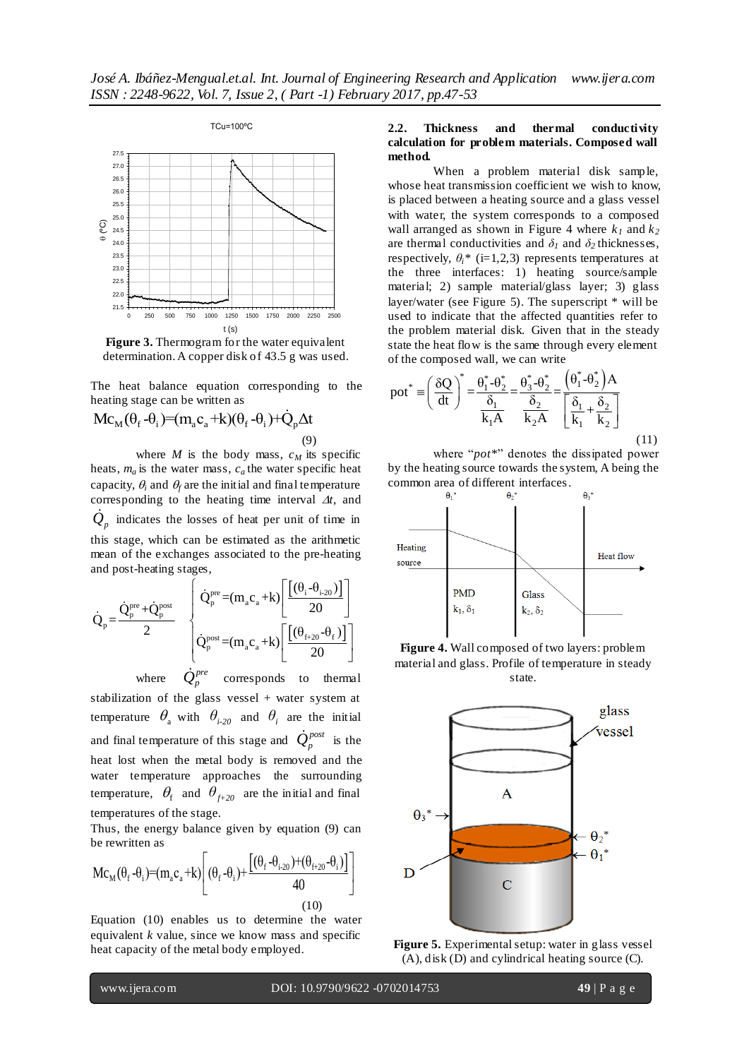

**Figure 3.** Thermogram for the water equivalent determination. A copper disk of 43.5 g was used.

The heat balance equation corresponding to the

heating stage can be written as  
\n
$$
Mc_M(\theta_f - \theta_i) = (m_a c_a + k)(\theta_f - \theta_i) + Q_p \Delta t
$$
\nwhere *M* is the body mass,  $c_M$  is specific  
\nheat, *m* is the water mass, *a*, the water mass

heats,  $m_a$  is the water mass,  $c_a$  the water specific heat capacity,  $\theta_i$  and  $\theta_f$  are the initial and final temperature corresponding to the heating time interval  $\Delta t$ , and  $\dot{Q}_p$  indicates the losses of heat per unit of time in this stage, which can be estimated as the arithmetic mean of the exchanges associated to the pre-heating and post-heating stages,

and post-heating stages,  
\n
$$
\dot{Q}_p = \frac{\dot{Q}_p^{\text{pre}} + \dot{Q}_p^{\text{post}}}{2} \begin{bmatrix}\n\dot{Q}_p^{\text{pre}} = (m_a c_a + k) \left[ \frac{[(\theta_i - \theta_{i-20})]}{20} \right]\n\dot{Q}_p^{\text{post}} = (m_a c_a + k) \left[ \frac{[(\theta_{i+20} - \theta_f)]}{20} \right]\n\end{bmatrix}
$$

where  $\dot{Q}_p^{pre}$  corresponds to thermal stabilization of the glass vessel + water system at temperature  $\theta$ <sub>a</sub> with  $\theta$ <sub>*i-20*</sub> and  $\theta$ <sub>*i*</sub> are the initial and final temperature of this stage and  $\dot{Q}_p^{post}$  is the heat lost when the metal body is removed and the water temperature approaches the surrounding temperature,  $\theta_f$  and  $\theta_{f+20}$  are the initial and final temperatures of the stage.

Thus, the energy balance given by equation (9) can<br>be rewritten as<br>M<sub>C</sub> (A -A )=(m c +k) (A -A )+ $[(\theta_f - \theta_{i\cdot 20})+(\theta_{f+20} - \theta_i)]$ be rewritten as

$$
\text{Mc}_{\text{M}}(\theta_{\text{f}} - \theta_{\text{i}}) = (\text{m}_{\text{a}}\text{c}_{\text{a}} + \text{k}) \left[ (\theta_{\text{f}} - \theta_{\text{i}}) + \frac{[(\theta_{\text{f}} - \theta_{\text{i-20}}) + (\theta_{\text{f}+20} - \theta_{\text{i}})]}{40} \right]
$$
\n
$$
(10)
$$

Equation (10) enables us to determine the water equivalent *k* value, since we know mass and specific heat capacity of the metal body employed.

## **2.2. Thickness and thermal conductivity calculation for problem materials. Composed wall method.**

When a problem material disk sample, whose heat transmission coefficient we wish to know, is placed between a heating source and a glass vessel with water, the system corresponds to a composed wall arranged as shown in Figure 4 where  $k_1$  and  $k_2$ are thermal conductivities and  $\delta$ <sup>1</sup> and  $\delta$ <sup>2</sup> thicknesses, respectively,  $\theta_i^*$  (i=1,2,3) represents temperatures at the three interfaces: 1) heating source/sample material; 2) sample material/glass layer; 3) glass layer/water (see Figure 5). The superscript \* will be used to indicate that the affected quantities refer to the problem material disk. Given that in the steady state the heat flow is the same through every element

of the composed wall, we can write  
\n
$$
pot^* = \left(\frac{\delta Q}{dt}\right)^* = \frac{\theta_1^* - \theta_2^*}{\frac{\delta_1}{k_1 A}} = \frac{\theta_3^* - \theta_2^*}{\frac{\delta_2}{k_2 A}} = \frac{\left(\theta_1^* - \theta_2^*\right)A}{\left[\frac{\delta_1}{k_1} + \frac{\delta_2}{k_2}\right]}
$$
\n(11)

where "*pot\**" denotes the dissipated power by the heating source towards the system, A being the common area of different interfaces.







**Figure 5.** Experimental setup: water in glass vessel (A), disk (D) and cylindrical heating source (C).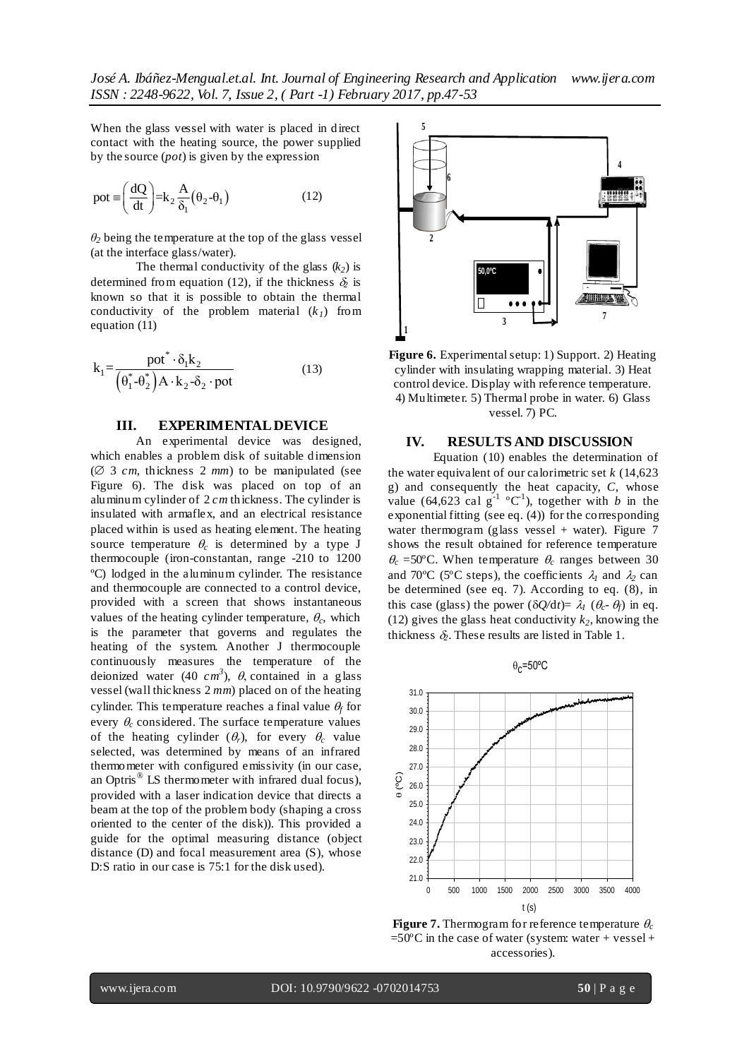When the glass vessel with water is placed in direct contact with the heating source, the power supplied by the source (*pot*) is given by the expression

$$
pot \equiv \left(\frac{dQ}{dt}\right) = k_2 \frac{A}{\delta_1} (\theta_2 - \theta_1)
$$
 (12)

 $\theta_2$  being the temperature at the top of the glass vessel (at the interface glass/water).

The thermal conductivity of the glass  $(k_2)$  is determined from equation (12), if the thickness  $\delta_2$  is known so that it is possible to obtain the thermal conductivity of the problem material  $(k<sub>1</sub>)$  from equation (11)

$$
k_1 = \frac{\text{pot}^* \cdot \delta_1 k_2}{(\theta_1^* - \theta_2^*) A \cdot k_2 - \delta_2 \cdot \text{pot}}
$$
 (13)

#### **III. EXPERIMENTAL DEVICE**

An experimental device was designed, which enables a problem disk of suitable dimension ( $\varnothing$  3 *cm*, thickness 2 *mm*) to be manipulated (see Figure 6). The disk was placed on top of an aluminum cylinder of 2 *cm* thickness. The cylinder is insulated with armaflex, and an electrical resistance placed within is used as heating element. The heating source temperature  $\theta_c$  is determined by a type J thermocouple (iron-constantan, range -210 to 1200 ºC) lodged in the aluminum cylinder. The resistance and thermocouple are connected to a control device, provided with a screen that shows instantaneous values of the heating cylinder temperature,  $\theta_c$ , which is the parameter that governs and regulates the heating of the system. Another J thermocouple continuously measures the temperature of the deionized water (40  $cm^3$ ),  $\theta$ , contained in a glass vessel (wall thickness 2 *mm*) placed on of the heating cylinder. This temperature reaches a final value  $\theta_f$  for every  $\theta_c$  considered. The surface temperature values of the heating cylinder  $(\theta_r)$ , for every  $\theta_c$  value selected, was determined by means of an infrared thermometer with configured emissivity (in our case, an Optris<sup>®</sup> LS thermometer with infrared dual focus), provided with a laser indication device that directs a beam at the top of the problem body (shaping a cross oriented to the center of the disk)). This provided a guide for the optimal measuring distance (object distance (D) and focal measurement area (S), whose D:S ratio in our case is 75:1 for the disk used).



**Figure 6.** Experimental setup: 1) Support. 2) Heating cylinder with insulating wrapping material. 3) Heat control device. Display with reference temperature. 4) Multimeter. 5) Thermal probe in water. 6) Glass vessel. 7) PC.

## **IV. RESULTS AND DISCUSSION**

Equation (10) enables the determination of the water equivalent of our calorimetric set *k* (14,623 g) and consequently the heat capacity, *C*, whose value (64,623 cal  $g^{-1}$  °C<sup>1</sup>), together with *b* in the exponential fitting (see eq. (4)) for the corresponding water thermogram (glass vessel + water). Figure  $7$ shows the result obtained for reference temperature  $\theta_c$  =50°C. When temperature  $\theta_c$  ranges between 30 and 70°C (5°C steps), the coefficients  $\lambda_1$  and  $\lambda_2$  can be determined (see eq. 7). According to eq. (8), in this case (glass) the power ( $\delta Q/dt$ )=  $\lambda_l$  ( $\theta_c$ - $\theta_f$ ) in eq. (12) gives the glass heat conductivity  $k_2$ , knowing the thickness  $\delta$ . These results are listed in Table 1.



**Figure 7.** Thermogram for reference temperature  $\theta_c$  $=50^{\circ}$ C in the case of water (system: water + vessel + accessories).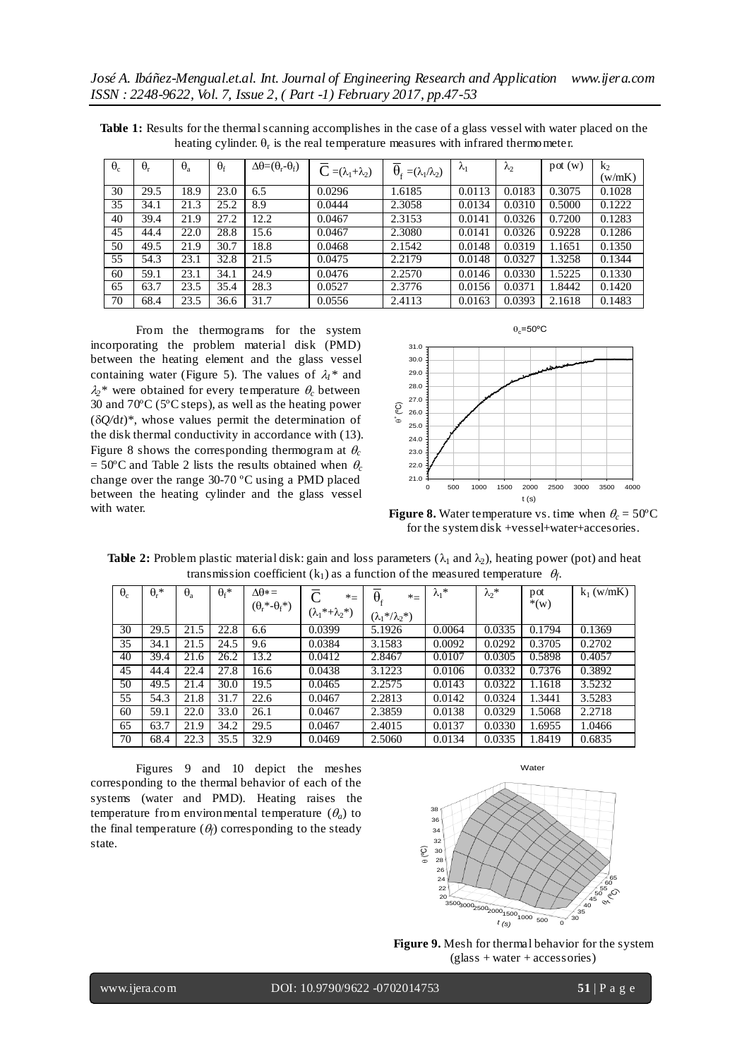| $\theta_c$ | $\theta_r$ | $\theta_{a}$ | $\theta_{\rm f}$ | $\Delta\theta = (\theta_r - \theta_f)$ | $\overline{C} = (\lambda_1 + \lambda_2)$ | $\theta_{\rm r} = (\lambda_1/\lambda_2)$ | $\lambda_1$ | $\lambda_2$ | pot(w) | $k_2$  |
|------------|------------|--------------|------------------|----------------------------------------|------------------------------------------|------------------------------------------|-------------|-------------|--------|--------|
|            |            |              |                  |                                        |                                          |                                          |             |             |        | (w/mK) |
| 30         | 29.5       | 18.9         | 23.0             | 6.5                                    | 0.0296                                   | 1.6185                                   | 0.0113      | 0.0183      | 0.3075 | 0.1028 |
| 35         | 34.1       | 21.3         | 25.2             | 8.9                                    | 0.0444                                   | 2.3058                                   | 0.0134      | 0.0310      | 0.5000 | 0.1222 |
| 40         | 39.4       | 21.9         | 27.2             | 12.2                                   | 0.0467                                   | 2.3153                                   | 0.0141      | 0.0326      | 0.7200 | 0.1283 |
| 45         | 44.4       | 22.0         | 28.8             | 15.6                                   | 0.0467                                   | 2.3080                                   | 0.0141      | 0.0326      | 0.9228 | 0.1286 |
| 50         | 49.5       | 21.9         | 30.7             | 18.8                                   | 0.0468                                   | 2.1542                                   | 0.0148      | 0.0319      | 1.1651 | 0.1350 |
| 55         | 54.3       | 23.1         | 32.8             | 21.5                                   | 0.0475                                   | 2.2179                                   | 0.0148      | 0.0327      | 1.3258 | 0.1344 |
| 60         | 59.1       | 23.1         | 34.1             | 24.9                                   | 0.0476                                   | 2.2570                                   | 0.0146      | 0.0330      | 1.5225 | 0.1330 |
| 65         | 63.7       | 23.5         | 35.4             | 28.3                                   | 0.0527                                   | 2.3776                                   | 0.0156      | 0.0371      | 1.8442 | 0.1420 |
| 70         | 68.4       | 23.5         | 36.6             | 31.7                                   | 0.0556                                   | 2.4113                                   | 0.0163      | 0.0393      | 2.1618 | 0.1483 |

**Table 1:** Results for the thermal scanning accomplishes in the case of a glass vessel with water placed on the heating cylinder.  $\theta_r$  is the real temperature measures with infrared thermometer.

From the thermograms for the system incorporating the problem material disk (PMD) between the heating element and the glass vessel containing water (Figure 5). The values of  $\lambda_1^*$  and  $\lambda_2^*$  were obtained for every temperature  $\theta_c$  between 30 and 70ºC (5ºC steps), as well as the heating power  $(\delta Q/dt)^*$ , whose values permit the determination of the disk thermal conductivity in accordance with (13). Figure 8 shows the corresponding thermogram at  $\theta_c$  $= 50^{\circ}$ C and Table 2 lists the results obtained when  $\theta_c$ change over the range 30-70 ºC using a PMD placed between the heating cylinder and the glass vessel with water.



**Figure 8.** Water temperature vs. time when  $\theta_c = 50^{\circ}$ C for the system disk +vessel+water+accesories.

| $\theta_c$ | $\theta_r^*$ | $\theta_{\rm a}$ | $\theta_f$ * | $\Lambda \theta^* =$        | $\subset$<br>$*_{=}$        | $\theta_{\rm f}$<br>$*_{=}$ | $\lambda_1^*$ | $\lambda_2^*$ | pot<br>$*(w)$ | $k_1$ (w/mK) |
|------------|--------------|------------------|--------------|-----------------------------|-----------------------------|-----------------------------|---------------|---------------|---------------|--------------|
|            |              |                  |              | $(\theta_r^* - \theta_f^*)$ | $(\lambda_1^*+\lambda_2^*)$ | $(\lambda_1^*/\lambda_2^*)$ |               |               |               |              |
| 30         | 29.5         | 21.5             | 22.8         | 6.6                         | 0.0399                      | 5.1926                      | 0.0064        | 0.0335        | 0.1794        | 0.1369       |
| 35         | 34.1         | 21.5             | 24.5         | 9.6                         | 0.0384                      | 3.1583                      | 0.0092        | 0.0292        | 0.3705        | 0.2702       |
| 40         | 39.4         | 21.6             | 26.2         | 13.2                        | 0.0412                      | 2.8467                      | 0.0107        | 0.0305        | 0.5898        | 0.4057       |
| 45         | 44.4         | 22.4             | 27.8         | 16.6                        | 0.0438                      | 3.1223                      | 0.0106        | 0.0332        | 0.7376        | 0.3892       |
| 50         | 49.5         | 21.4             | 30.0         | 19.5                        | 0.0465                      | 2.2575                      | 0.0143        | 0.0322        | 1.1618        | 3.5232       |
| 55         | 54.3         | 21.8             | 31.7         | 22.6                        | 0.0467                      | 2.2813                      | 0.0142        | 0.0324        | 1.3441        | 3.5283       |
| 60         | 59.1         | 22.0             | 33.0         | 26.1                        | 0.0467                      | 2.3859                      | 0.0138        | 0.0329        | 1.5068        | 2.2718       |
| 65         | 63.7         | 21.9             | 34.2         | 29.5                        | 0.0467                      | 2.4015                      | 0.0137        | 0.0330        | 1.6955        | 1.0466       |
| 70         | 68.4         | 22.3             | 35.5         | 32.9                        | 0.0469                      | 2.5060                      | 0.0134        | 0.0335        | 1.8419        | 0.6835       |

**Table 2:** Problem plastic material disk: gain and loss parameters ( $\lambda_1$  and  $\lambda_2$ ), heating power (pot) and heat transmission coefficient  $(k_1)$  as a function of the measured temperature  $\theta_f$ .

Figures 9 and 10 depict the meshes corresponding to the thermal behavior of each of the systems (water and PMD). Heating raises the temperature from environmental temperature  $(\theta_a)$  to the final temperature  $(\theta_f)$  corresponding to the steady state.



**Figure 9.** Mesh for thermal behavior for the system (glass + water + accessories)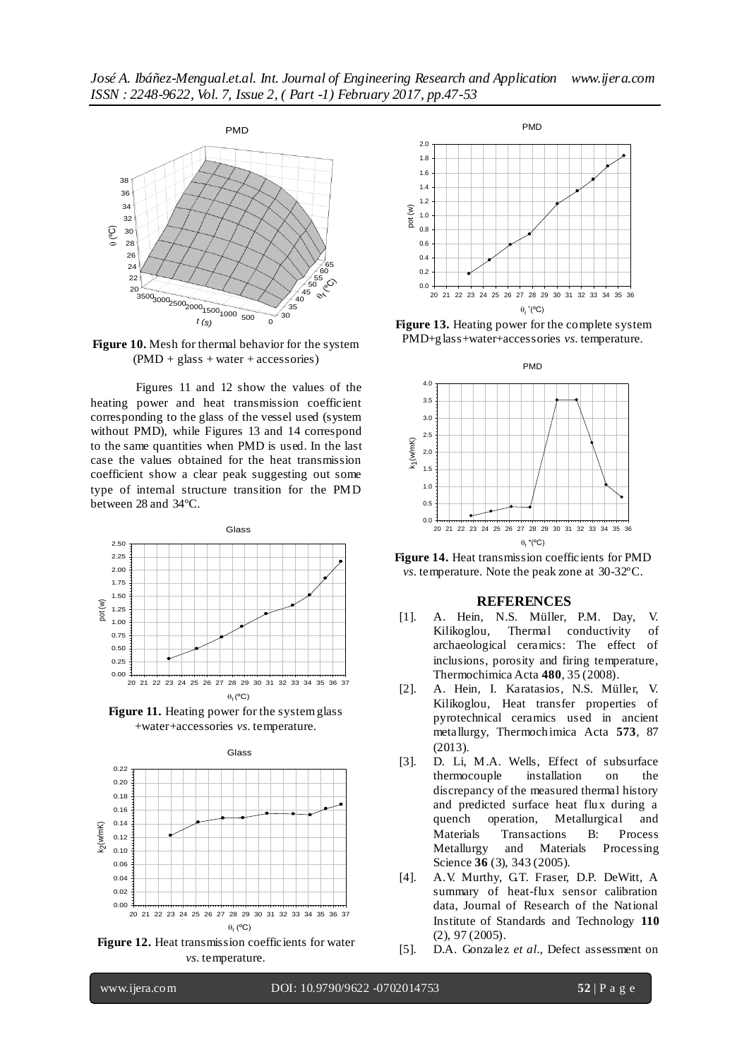

**Figure 10.** Mesh for thermal behavior for the system  $(PMD + glass + water + accessories)$ 

Figures 11 and 12 show the values of the heating power and heat transmission coefficient corresponding to the glass of the vessel used (system without PMD), while Figures 13 and 14 correspond to the same quantities when PMD is used. In the last case the values obtained for the heat transmission coefficient show a clear peak suggesting out some type of internal structure transition for the PMD between 28 and 34ºC.



**Figure 11.** Heating power for the system glass +water+accessories *vs*. temperature.



*vs*. temperature.



**Figure 13.** Heating power for the complete system PMD+glass+water+accessories *vs*. temperature.



**Figure 14.** Heat transmission coefficients for PMD *vs*. temperature. Note the peak zone at 30-32ºC.

#### **REFERENCES**

- [1]. A. [Hein,](http://www.sciencedirect.com/science/article/pii/S0040603108002840) [N.S. Müller,](http://www.sciencedirect.com/science/article/pii/S0040603108002840) [P.M. Day,](http://www.sciencedirect.com/science/article/pii/S0040603108002840) [V.](http://www.sciencedirect.com/science/article/pii/S0040603108002840) [Kilikoglou,](http://www.sciencedirect.com/science/article/pii/S0040603108002840) Thermal conductivity of archaeological ceramics: The effect of inclusions, porosity and firing temperature, [Thermochimica Acta](http://www.sciencedirect.com/science/journal/00406031) **480**, 35 (2008).
- [2]. A. [Hein,](http://www.sciencedirect.com/science/article/pii/S0040603113004887) I. [Karatasios,](http://www.sciencedirect.com/science/article/pii/S0040603113004887) [N.S. Müller,](http://www.sciencedirect.com/science/article/pii/S0040603113004887) [V.](http://www.sciencedirect.com/science/article/pii/S0040603113004887) [Kilikoglou,](http://www.sciencedirect.com/science/article/pii/S0040603113004887) Heat transfer properties of pyrotechnical ceramics used in ancient metallurgy, [Thermochimica Acta](http://www.sciencedirect.com/science/journal/00406031) **573**, 87 (2013).
- [3]. D. Li, M.A. Wells, Effect of subsurface thermocouple installation on the discrepancy of the measured thermal history and predicted surface heat flux during a quench operation, Metallurgical and Materials Transactions B: Process<br>Metallurgy and Materials Processing and Materials Processing Science **36** (3), 343 (2005).
- [4]. A.V. Murthy, GT. Fraser, D.P. DeWitt, A summary of heat-flux sensor calibration data, Journal of Research of the National Institute of Standards and Technology **110** (2), 97 (2005).
- [5]. D.A. Gonzalez *et al.*, Defect assessment on